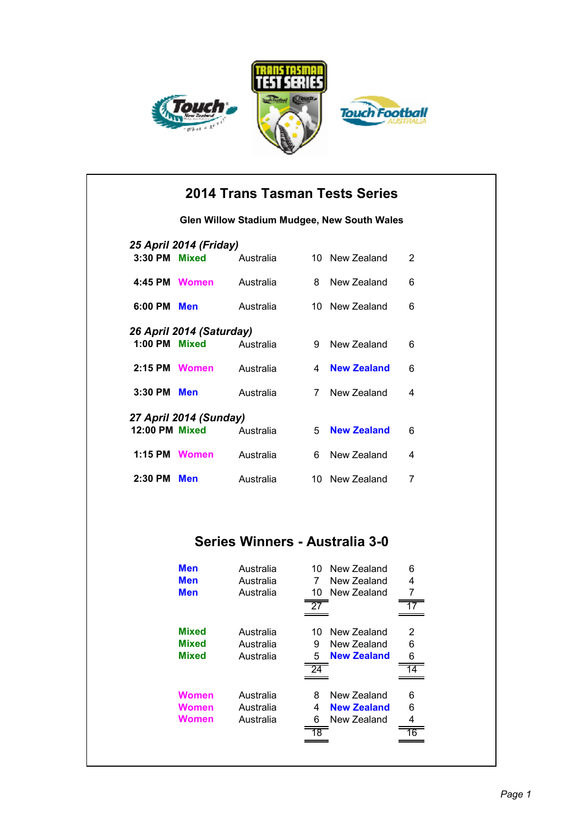





|                |                                        |                                |                | 2014 Trans Tasman Tests Series<br>Glen Willow Stadium Mudgee, New South Wales |   |
|----------------|----------------------------------------|--------------------------------|----------------|-------------------------------------------------------------------------------|---|
|                |                                        |                                |                |                                                                               |   |
| $3:30$ PM      | 25 April 2014 (Friday)<br><b>Mixed</b> | Australia                      |                | 10 New Zealand                                                                | 2 |
| 4:45 PM Women  |                                        | Australia                      | 8              | New Zealand                                                                   | 6 |
| 6:00 PM Men    |                                        | Australia                      |                | 10 New Zealand                                                                | 6 |
|                | 26 April 2014 (Saturday)               |                                |                |                                                                               |   |
| 1:00 PM Mixed  |                                        | Australia                      | 9              | New Zealand                                                                   | 6 |
| 2:15 PM Women  |                                        | Australia                      | $\overline{4}$ | <b>New Zealand</b>                                                            | 6 |
| 3:30 PM Men    |                                        | Australia                      | $\overline{7}$ | New Zealand                                                                   | 4 |
|                | 27 April 2014 (Sunday)                 |                                |                |                                                                               |   |
| 12:00 PM Mixed |                                        | Australia                      | 5              | <b>New Zealand</b>                                                            | 6 |
| 1:15 PM Women  |                                        | Australia                      |                | 6 New Zealand                                                                 | 4 |
| 2:30 PM Men    |                                        | Australia                      |                | 10 New Zealand                                                                | 7 |
|                |                                        |                                |                |                                                                               |   |
|                |                                        | Series Winners - Australia 3-0 |                |                                                                               |   |

| <b>Men</b><br><b>Men</b><br><b>Men</b>       | Australia<br>Australia<br>Australia | New Zealand<br>10<br>7<br>New Zealand<br>New Zealand<br>10             | 6<br>4<br>7 |
|----------------------------------------------|-------------------------------------|------------------------------------------------------------------------|-------------|
| <b>Mixed</b><br><b>Mixed</b><br><b>Mixed</b> | Australia<br>Australia<br>Australia | New Zealand<br>10<br>New Zealand<br>9<br>5<br><b>New Zealand</b><br>24 | 2<br>6<br>6 |
| Women<br>Women<br>Women                      | Australia<br>Australia<br>Australia | 8<br>New Zealand<br><b>New Zealand</b><br>4<br>6<br>New Zealand        | 6<br>6<br>4 |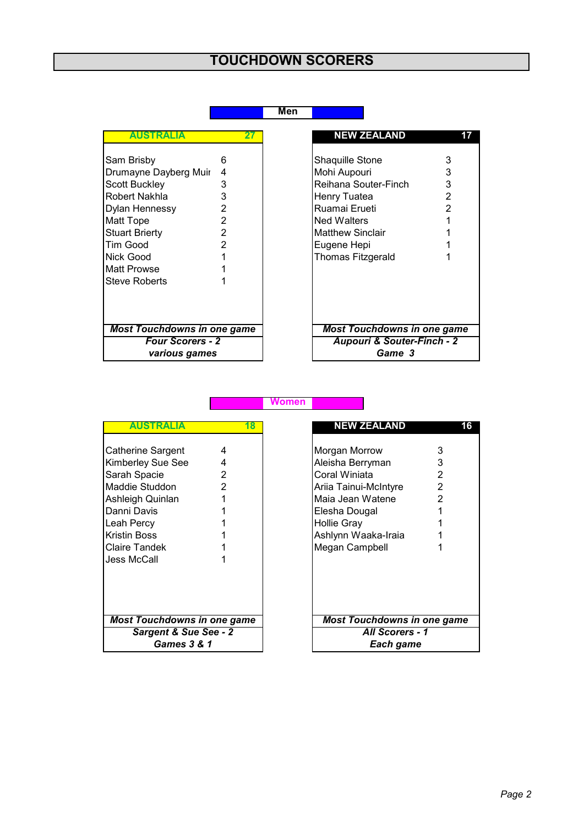## **TOUCHDOWN SCORERS**

## **Men**

| <b>AUSTRALIA</b>                                                                                                                                                                                     |                                                                             | <b>NEW ZEALAND</b>                                                                                                                                                                   |                                                 |
|------------------------------------------------------------------------------------------------------------------------------------------------------------------------------------------------------|-----------------------------------------------------------------------------|--------------------------------------------------------------------------------------------------------------------------------------------------------------------------------------|-------------------------------------------------|
| Sam Brisby<br>Drumayne Dayberg Muir<br><b>Scott Buckley</b><br>Robert Nakhla<br>Dylan Hennessy<br>Matt Tope<br><b>Stuart Brierty</b><br>Tim Good<br>Nick Good<br>Matt Prowse<br><b>Steve Roberts</b> | 6<br>4<br>3<br>3<br>2<br>$\overline{2}$<br>$\overline{2}$<br>$\overline{2}$ | Shaquille Stone<br>Mohi Aupouri<br>Reihana Souter-Finch<br>Henry Tuatea<br>Ruamai Erueti<br><b>Ned Walters</b><br><b>Matthew Sinclair</b><br>Eugene Hepi<br><b>Thomas Fitzgerald</b> | 3<br>3<br>3<br>$\overline{2}$<br>$\overline{c}$ |
| <b>Most Touchdowns in one game</b><br><b>Four Scorers - 2</b><br>various games                                                                                                                       |                                                                             | <b>Most Touchdowns in one ga</b><br>Aupouri & Souter-Finch -<br>Game 3                                                                                                               |                                                 |

|                                    | 27 | <b>NEW ZEALAND</b>                    | 17 |
|------------------------------------|----|---------------------------------------|----|
| am Brisby                          | 6  | Shaquille Stone                       | 3  |
| Irumayne Dayberg Muir              | 4  | Mohi Aupouri                          | 3  |
| cott Buckley                       | 3  | Reihana Souter-Finch                  | 3  |
| Robert Nakhla                      | 3  | Henry Tuatea                          | 2  |
| lylan Hennessy                     | 2  | Ruamai Erueti                         | 2  |
| latt Tope                          | 2  | <b>Ned Walters</b>                    |    |
| <b>Stuart Brierty</b>              | 2  | <b>Matthew Sinclair</b>               |    |
| im Good                            | 2  | Eugene Hepi                           |    |
| lick Good                          |    | <b>Thomas Fitzgerald</b>              |    |
| latt Prowse                        |    |                                       |    |
| Steve Roberts                      |    |                                       |    |
|                                    |    |                                       |    |
| <b>Most Touchdowns in one game</b> |    | <b>Most Touchdowns in one game</b>    |    |
| <b>Four Scorers - 2</b>            |    | <b>Aupouri &amp; Souter-Finch - 2</b> |    |
| various games                      |    | Game 3                                |    |

**Women**

| <b>AUSTRALIA</b>                                                                                                                                                                        | 18               | <b>NEW ZEALAND</b>                                                                                                                                                              |                                                                        |
|-----------------------------------------------------------------------------------------------------------------------------------------------------------------------------------------|------------------|---------------------------------------------------------------------------------------------------------------------------------------------------------------------------------|------------------------------------------------------------------------|
| <b>Catherine Sargent</b><br>Kimberley Sue See<br>Sarah Spacie<br>Maddie Studdon<br>Ashleigh Quinlan<br>Danni Davis<br>Leah Percy<br>Kristin Boss<br><b>Claire Tandek</b><br>Jess McCall | 4<br>4<br>2<br>2 | Morgan Morrow<br>Aleisha Berryman<br>Coral Winiata<br>Ariia Tainui-McIntyre<br>Maia Jean Watene<br>Elesha Dougal<br><b>Hollie Gray</b><br>Ashlynn Waaka-Iraia<br>Megan Campbell | 3<br>3<br>$\overline{2}$<br>$\overline{2}$<br>$\overline{2}$<br>1<br>1 |
| <b>Most Touchdowns in one game</b><br><b>Sargent &amp; Sue See - 2</b><br><b>Games 3 &amp; 1</b>                                                                                        |                  | <b>Most Touchdowns in one</b><br><b>All Scorers - 1</b><br>Each game                                                                                                            |                                                                        |

| <b>AUSTRALIA</b>                                                                                                                                                    | 18               | <b>NEW ZEALAND</b>                                                                                                                                                              | 16                                 |
|---------------------------------------------------------------------------------------------------------------------------------------------------------------------|------------------|---------------------------------------------------------------------------------------------------------------------------------------------------------------------------------|------------------------------------|
| atherine Sargent<br>imberley Sue See<br>arah Spacie<br>Aaddie Studdon<br>shleigh Quinlan<br>)anni Davis<br>eah Percy<br>ristin Boss)<br>Claire Tandek<br>ess McCall | 4<br>4<br>2<br>2 | Morgan Morrow<br>Aleisha Berryman<br>Coral Winiata<br>Ariia Tainui-McIntyre<br>Maia Jean Watene<br>Elesha Dougal<br><b>Hollie Gray</b><br>Ashlynn Waaka-Iraia<br>Megan Campbell | 3<br>3<br>2<br>$\overline{2}$<br>2 |
| <b>Most Touchdowns in one game</b><br><b>Sargent &amp; Sue See - 2</b><br><b>Games 3 &amp; 1</b>                                                                    |                  | <b>Most Touchdowns in one game</b><br><b>All Scorers - 1</b><br>Each game                                                                                                       |                                    |